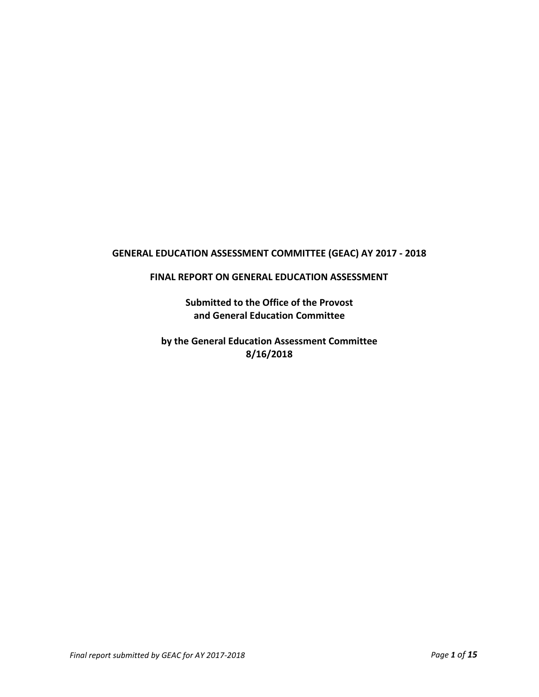# **GENERAL EDUCATION ASSESSMENT COMMITTEE (GEAC) AY 2017 - 2018**

#### **FINAL REPORT ON GENERAL EDUCATION ASSESSMENT**

**Submitted to the Office of the Provost and General Education Committee**

**by the General Education Assessment Committee 8/16/2018**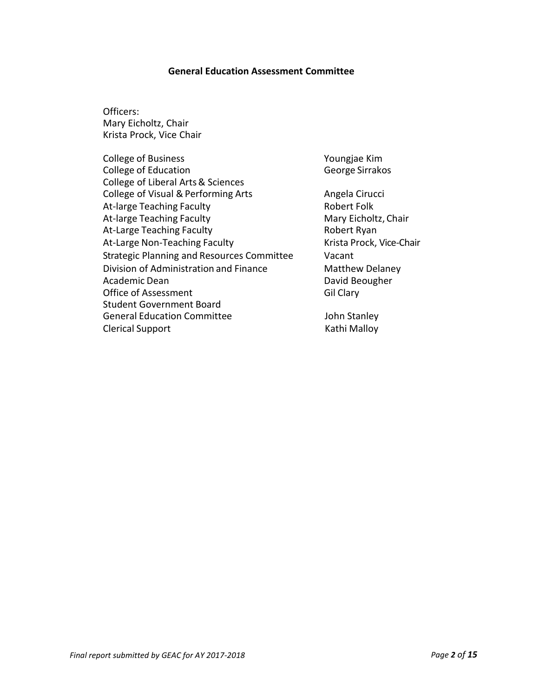#### **General Education Assessment Committee**

Officers: Mary Eicholtz, Chair Krista Prock, Vice Chair

| College of Business                        |
|--------------------------------------------|
| <b>College of Education</b>                |
| College of Liberal Arts & Sciences         |
| College of Visual & Performing Arts        |
| At-large Teaching Faculty                  |
| At-large Teaching Faculty                  |
| At-Large Teaching Faculty                  |
| At-Large Non-Teaching Faculty              |
| Strategic Planning and Resources Committee |
| Division of Administration and Finance     |
| Academic Dean                              |
| Office of Assessment                       |
| <b>Student Government Board</b>            |
| <b>General Education Committee</b>         |
| <b>Clerical Support</b>                    |
|                                            |

Youngjae Kim George Sirrakos Angela Cirucci Robert Folk Mary Eicholtz, Chair Robert Ryan Krista Prock, Vice-Chair Vacant Matthew Delaney David Beougher Gil Clary

John Stanley Kathi Malloy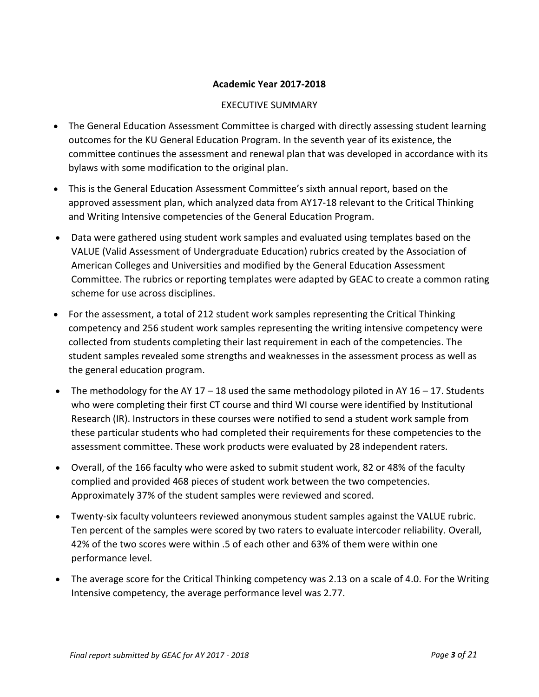### **Academic Year 2017-2018**

### EXECUTIVE SUMMARY

- The General Education Assessment Committee is charged with directly assessing student learning outcomes for the KU General Education Program. In the seventh year of its existence, the committee continues the assessment and renewal plan that was developed in accordance with its bylaws with some modification to the original plan.
- This is the General Education Assessment Committee's sixth annual report, based on the approved assessment plan, which analyzed data from AY17-18 relevant to the Critical Thinking and Writing Intensive competencies of the General Education Program.
- Data were gathered using student work samples and evaluated using templates based on the VALUE (Valid Assessment of Undergraduate Education) rubrics created by the Association of American Colleges and Universities and modified by the General Education Assessment Committee. The rubrics or reporting templates were adapted by GEAC to create a common rating scheme for use across disciplines.
- For the assessment, a total of 212 student work samples representing the Critical Thinking competency and 256 student work samples representing the writing intensive competency were collected from students completing their last requirement in each of the competencies. The student samples revealed some strengths and weaknesses in the assessment process as well as the general education program.
- The methodology for the AY 17 18 used the same methodology piloted in AY 16 17. Students who were completing their first CT course and third WI course were identified by Institutional Research (IR). Instructors in these courses were notified to send a student work sample from these particular students who had completed their requirements for these competencies to the assessment committee. These work products were evaluated by 28 independent raters.
- Overall, of the 166 faculty who were asked to submit student work, 82 or 48% of the faculty complied and provided 468 pieces of student work between the two competencies. Approximately 37% of the student samples were reviewed and scored.
- Twenty-six faculty volunteers reviewed anonymous student samples against the VALUE rubric. Ten percent of the samples were scored by two raters to evaluate intercoder reliability. Overall, 42% of the two scores were within .5 of each other and 63% of them were within one performance level.
- The average score for the Critical Thinking competency was 2.13 on a scale of 4.0. For the Writing Intensive competency, the average performance level was 2.77.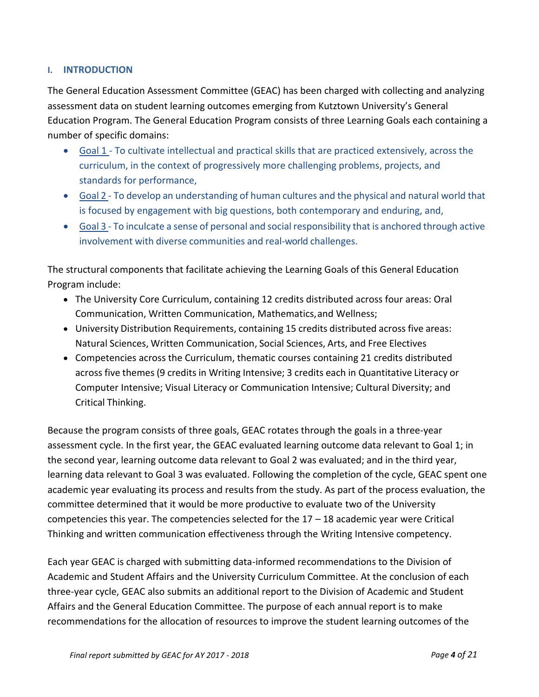### **I. INTRODUCTION**

The General Education Assessment Committee (GEAC) has been charged with collecting and analyzing assessment data on student learning outcomes emerging from Kutztown University's General Education Program. The General Education Program consists of three Learning Goals each containing a number of specific domains:

- Goal 1 To cultivate intellectual and practical skills that are practiced extensively, across the curriculum, in the context of progressively more challenging problems, projects, and standards for performance,
- Goal 2 To develop an understanding of human cultures and the physical and natural world that is focused by engagement with big questions, both contemporary and enduring, and,
- $\bullet$  Goal 3 To inculcate a sense of personal and social responsibility that is anchored through active involvement with diverse communities and real-world challenges.

The structural components that facilitate achieving the Learning Goals of this General Education Program include:

- The University Core Curriculum, containing 12 credits distributed across four areas: Oral Communication, Written Communication, Mathematics, and Wellness;
- University Distribution Requirements, containing 15 credits distributed across five areas: Natural Sciences, Written Communication, Social Sciences, Arts, and Free Electives
- Competencies across the Curriculum, thematic courses containing 21 credits distributed across five themes(9 credits in Writing Intensive; 3 credits each in Quantitative Literacy or Computer Intensive; Visual Literacy or Communication Intensive; Cultural Diversity; and Critical Thinking.

Because the program consists of three goals, GEAC rotates through the goals in a three-year assessment cycle. In the first year, the GEAC evaluated learning outcome data relevant to Goal 1; in the second year, learning outcome data relevant to Goal 2 was evaluated; and in the third year, learning data relevant to Goal 3 was evaluated. Following the completion of the cycle, GEAC spent one academic year evaluating its process and results from the study. As part of the process evaluation, the committee determined that it would be more productive to evaluate two of the University competencies this year. The competencies selected for the 17 – 18 academic year were Critical Thinking and written communication effectiveness through the Writing Intensive competency.

Each year GEAC is charged with submitting data-informed recommendations to the Division of Academic and Student Affairs and the University Curriculum Committee. At the conclusion of each three-year cycle, GEAC also submits an additional report to the Division of Academic and Student Affairs and the General Education Committee. The purpose of each annual report is to make recommendations for the allocation of resources to improve the student learning outcomes of the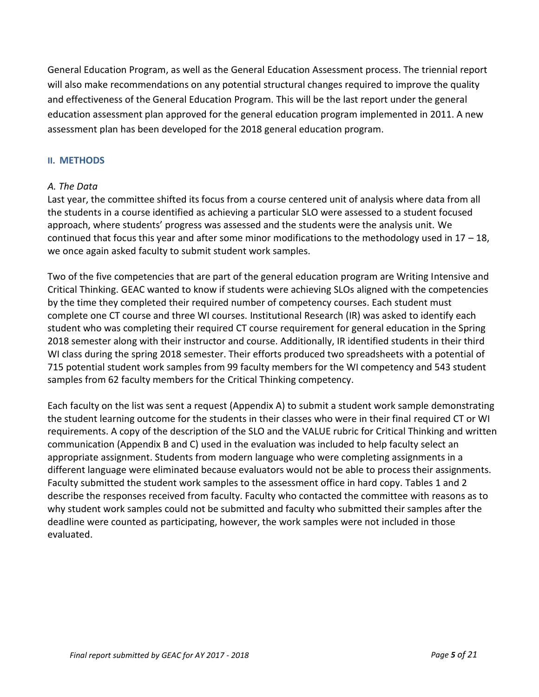General Education Program, as well as the General Education Assessment process. The triennial report will also make recommendations on any potential structural changes required to improve the quality and effectiveness of the General Education Program. This will be the last report under the general education assessment plan approved for the general education program implemented in 2011. A new assessment plan has been developed for the 2018 general education program.

### **II. METHODS**

### *A. The Data*

Last year, the committee shifted its focus from a course centered unit of analysis where data from all the students in a course identified as achieving a particular SLO were assessed to a student focused approach, where students' progress was assessed and the students were the analysis unit. We continued that focus this year and after some minor modifications to the methodology used in  $17 - 18$ , we once again asked faculty to submit student work samples.

Two of the five competencies that are part of the general education program are Writing Intensive and Critical Thinking. GEAC wanted to know if students were achieving SLOs aligned with the competencies by the time they completed their required number of competency courses. Each student must complete one CT course and three WI courses. Institutional Research (IR) was asked to identify each student who was completing their required CT course requirement for general education in the Spring 2018 semester along with their instructor and course. Additionally, IR identified students in their third WI class during the spring 2018 semester. Their efforts produced two spreadsheets with a potential of 715 potential student work samples from 99 faculty members for the WI competency and 543 student samples from 62 faculty members for the Critical Thinking competency.

Each faculty on the list was sent a request (Appendix A) to submit a student work sample demonstrating the student learning outcome for the students in their classes who were in their final required CT or WI requirements. A copy of the description of the SLO and the VALUE rubric for Critical Thinking and written communication (Appendix B and C) used in the evaluation was included to help faculty select an appropriate assignment. Students from modern language who were completing assignments in a different language were eliminated because evaluators would not be able to process their assignments. Faculty submitted the student work samples to the assessment office in hard copy. Tables 1 and 2 describe the responses received from faculty. Faculty who contacted the committee with reasons as to why student work samples could not be submitted and faculty who submitted their samples after the deadline were counted as participating, however, the work samples were not included in those evaluated.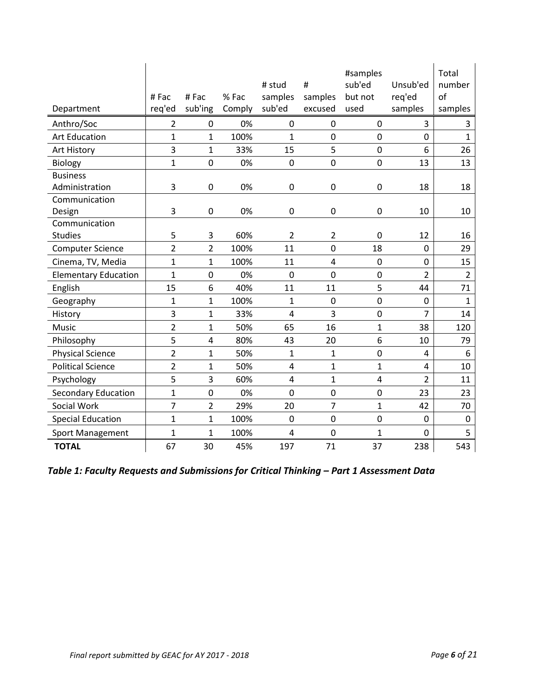| Department                  | #Fac<br>req'ed | #Fac<br>sub'ing | % Fac<br>Comply | # stud<br>samples<br>sub'ed | #<br>samples<br>excused | #samples<br>sub'ed<br>but not<br>used | Unsub'ed<br>req'ed<br>samples | Total<br>number<br>of<br>samples |
|-----------------------------|----------------|-----------------|-----------------|-----------------------------|-------------------------|---------------------------------------|-------------------------------|----------------------------------|
| Anthro/Soc                  | 2              | $\mathbf{0}$    | 0%              | 0                           | 0                       | 0                                     | 3                             | 3                                |
| <b>Art Education</b>        | $\overline{1}$ | $\overline{1}$  | 100%            | $\mathbf{1}$                | $\mathbf 0$             | $\mathbf 0$                           | 0                             | $\mathbf 1$                      |
| Art History                 | 3              | $\mathbf{1}$    | 33%             | 15                          | 5                       | 0                                     | 6                             | 26                               |
| <b>Biology</b>              | $\mathbf{1}$   | 0               | 0%              | 0                           | $\mathbf 0$             | $\pmb{0}$                             | 13                            | 13                               |
| <b>Business</b>             |                |                 |                 |                             |                         |                                       |                               |                                  |
| Administration              | 3              | 0               | 0%              | 0                           | $\mathbf 0$             | $\pmb{0}$                             | 18                            | 18                               |
| Communication               |                |                 |                 |                             |                         |                                       |                               |                                  |
| Design                      | 3              | 0               | 0%              | 0                           | $\mathbf 0$             | $\pmb{0}$                             | 10                            | 10                               |
| Communication               |                |                 |                 |                             |                         |                                       |                               |                                  |
| <b>Studies</b>              | 5              | 3               | 60%             | 2                           | 2                       | 0                                     | 12                            | 16                               |
| <b>Computer Science</b>     | $\overline{2}$ | $\overline{2}$  | 100%            | 11                          | $\mathbf 0$             | 18                                    | $\mathbf 0$                   | 29                               |
| Cinema, TV, Media           | $\mathbf{1}$   | $\mathbf{1}$    | 100%            | 11                          | 4                       | $\pmb{0}$                             | 0                             | 15                               |
| <b>Elementary Education</b> | $\mathbf{1}$   | 0               | 0%              | $\mathbf 0$                 | $\mathbf 0$             | $\pmb{0}$                             | $\overline{2}$                | $\overline{2}$                   |
| English                     | 15             | 6               | 40%             | 11                          | 11                      | 5                                     | 44                            | 71                               |
| Geography                   | $\mathbf{1}$   | $\mathbf 1$     | 100%            | $\mathbf{1}$                | $\mathbf 0$             | $\pmb{0}$                             | $\pmb{0}$                     | $\overline{1}$                   |
| History                     | 3              | $\mathbf 1$     | 33%             | $\overline{4}$              | 3                       | $\pmb{0}$                             | 7                             | 14                               |
| Music                       | $\overline{2}$ | $\mathbf 1$     | 50%             | 65                          | 16                      | $\mathbf 1$                           | 38                            | 120                              |
| Philosophy                  | 5              | 4               | 80%             | 43                          | 20                      | 6                                     | 10                            | 79                               |
| <b>Physical Science</b>     | $\overline{2}$ | $\overline{1}$  | 50%             | $\mathbf{1}$                | $\mathbf 1$             | $\pmb{0}$                             | $\overline{4}$                | 6                                |
| <b>Political Science</b>    | $\overline{2}$ | $\mathbf 1$     | 50%             | $\overline{4}$              | $\mathbf{1}$            | $\mathbf 1$                           | 4                             | 10                               |
| Psychology                  | 5              | 3               | 60%             | $\overline{4}$              | $\mathbf{1}$            | 4                                     | 2                             | 11                               |
| <b>Secondary Education</b>  | $\mathbf{1}$   | $\mathbf 0$     | 0%              | $\overline{0}$              | $\mathbf 0$             | $\mathbf 0$                           | 23                            | 23                               |
| Social Work                 | $\overline{7}$ | $\overline{2}$  | 29%             | 20                          | 7                       | $\mathbf{1}$                          | 42                            | 70                               |
| <b>Special Education</b>    | $\overline{1}$ | $\mathbf 1$     | 100%            | $\overline{0}$              | $\mathbf 0$             | $\mathbf 0$                           | 0                             | 0                                |
| Sport Management            | $\mathbf{1}$   | 1               | 100%            | 4                           | $\mathbf 0$             | 1                                     | 0                             | 5                                |
| <b>TOTAL</b>                | 67             | 30              | 45%             | 197                         | 71                      | 37                                    | 238                           | 543                              |

*Table 1: Faculty Requests and Submissions for Critical Thinking – Part 1 Assessment Data*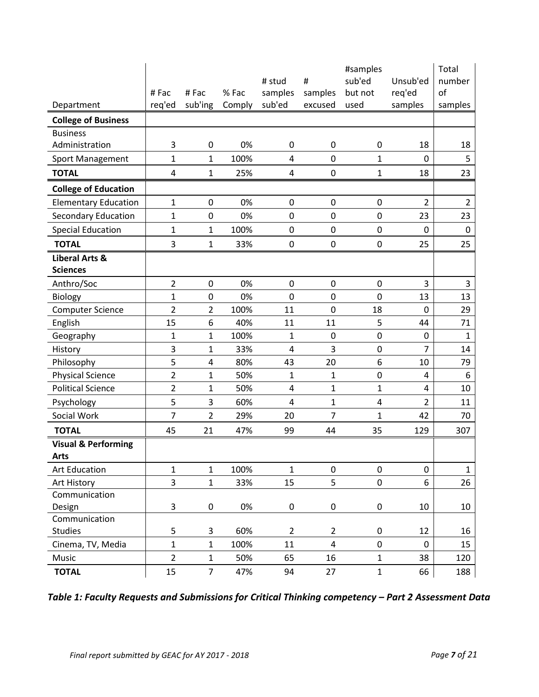|                                |                |                |        |                         |                | Total        |                |                |
|--------------------------------|----------------|----------------|--------|-------------------------|----------------|--------------|----------------|----------------|
|                                |                |                |        | # stud                  | #              | sub'ed       | Unsub'ed       | number         |
|                                | #Fac           | #Fac           | % Fac  | samples                 | samples        | but not      | req'ed         | of             |
| Department                     | req'ed         | sub'ing        | Comply | sub'ed                  | excused        | used         | samples        | samples        |
| <b>College of Business</b>     |                |                |        |                         |                |              |                |                |
| <b>Business</b>                |                |                |        |                         |                |              |                |                |
| Administration                 | 3              | $\mathbf 0$    | 0%     | 0                       | 0              | 0            | 18             | 18             |
| <b>Sport Management</b>        | 1              | $\mathbf{1}$   | 100%   | 4                       | 0              | 1            | $\mathbf 0$    | 5              |
| <b>TOTAL</b>                   | 4              | $\mathbf{1}$   | 25%    | 4                       | 0              | 1            | 18             | 23             |
| <b>College of Education</b>    |                |                |        |                         |                |              |                |                |
| <b>Elementary Education</b>    | 1              | $\mathbf 0$    | 0%     | $\pmb{0}$               | 0              | $\pmb{0}$    | $\overline{2}$ | $\overline{2}$ |
| <b>Secondary Education</b>     | 1              | $\mathbf 0$    | 0%     | $\mathbf 0$             | 0              | 0            | 23             | 23             |
| <b>Special Education</b>       | 1              | $\mathbf{1}$   | 100%   | $\pmb{0}$               | 0              | $\pmb{0}$    | 0              | $\mathbf 0$    |
| <b>TOTAL</b>                   | 3              | $\mathbf{1}$   | 33%    | $\pmb{0}$               | 0              | $\pmb{0}$    | 25             | 25             |
| <b>Liberal Arts &amp;</b>      |                |                |        |                         |                |              |                |                |
| <b>Sciences</b>                |                |                |        |                         |                |              |                |                |
| Anthro/Soc                     | 2              | $\mathbf 0$    | 0%     | $\boldsymbol{0}$        | $\pmb{0}$      | $\mathbf 0$  | 3              | 3              |
| Biology                        | 1              | $\pmb{0}$      | 0%     | $\mathbf 0$             | 0              | $\mathbf 0$  | 13             | 13             |
| <b>Computer Science</b>        | $\overline{2}$ | $\overline{2}$ | 100%   | 11                      | $\mathbf 0$    | 18           | $\mathbf 0$    | 29             |
| English                        | 15             | 6              | 40%    | 11                      | 11             | 5            | 44             | 71             |
| Geography                      | 1              | 1              | 100%   | 1                       | $\mathbf 0$    | $\mathbf 0$  | $\mathbf 0$    | 1              |
| History                        | 3              | 1              | 33%    | $\overline{\mathbf{4}}$ | 3              | $\mathbf 0$  | 7              | 14             |
| Philosophy                     | 5              | 4              | 80%    | 43                      | 20             | 6            | 10             | 79             |
| <b>Physical Science</b>        | 2              | 1              | 50%    | $\mathbf{1}$            | 1              | 0            | $\overline{4}$ | 6              |
| <b>Political Science</b>       | $\overline{2}$ | 1              | 50%    | 4                       | $\mathbf 1$    | $\mathbf{1}$ | $\overline{4}$ | 10             |
| Psychology                     | 5              | 3              | 60%    | $\overline{\mathbf{4}}$ | $\mathbf{1}$   | 4            | 2              | 11             |
| Social Work                    | $\overline{7}$ | $\overline{2}$ | 29%    | 20                      | $\overline{7}$ | 1            | 42             | 70             |
| <b>TOTAL</b>                   | 45             | 21             | 47%    | 99                      | 44             | 35           | 129            | 307            |
| <b>Visual &amp; Performing</b> |                |                |        |                         |                |              |                |                |
| <b>Arts</b>                    |                |                |        |                         |                |              |                |                |
| <b>Art Education</b>           | $\mathbf{1}$   | $\mathbf{1}$   | 100%   | $\mathbf{1}$            | $\pmb{0}$      | $\pmb{0}$    | $\pmb{0}$      | $\mathbf{1}$   |
| Art History                    | 3              | $\mathbf 1$    | 33%    | 15                      | 5              | $\pmb{0}$    | 6              | 26             |
| Communication                  |                |                |        |                         |                |              |                |                |
| Design                         | 3              | $\pmb{0}$      | 0%     | $\pmb{0}$               | 0              | $\pmb{0}$    | 10             | 10             |
| Communication                  |                |                |        |                         |                |              |                |                |
| Studies                        | 5              | 3              | 60%    | $\overline{2}$          | $\overline{2}$ | 0            | 12             | 16             |
| Cinema, TV, Media              | $\mathbf 1$    | $\mathbf 1$    | 100%   | 11                      | 4              | $\pmb{0}$    | 0              | 15             |
| Music                          | $\overline{2}$ | $\mathbf{1}$   | 50%    | 65                      | 16             | $\mathbf{1}$ | 38             | 120            |
| <b>TOTAL</b>                   | 15             | $\overline{7}$ | 47%    | 94                      | 27             | $\mathbf{1}$ | 66             | 188            |

*Table 1: Faculty Requests and Submissions for Critical Thinking competency – Part 2 Assessment Data*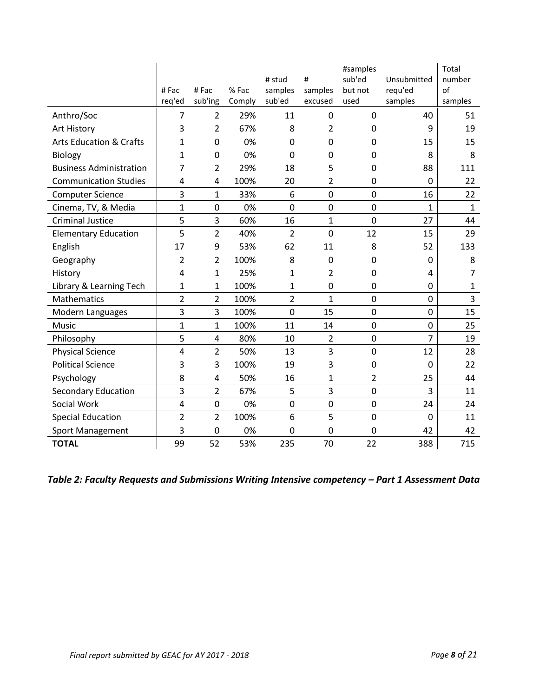|                                    |                         |                |        |                |                | #samples       |                | Total          |
|------------------------------------|-------------------------|----------------|--------|----------------|----------------|----------------|----------------|----------------|
|                                    |                         |                |        | # stud         | #              | sub'ed         | Unsubmitted    | number         |
|                                    | #Fac                    | #Fac           | % Fac  | samples        | samples        | but not        | requ'ed        | of             |
|                                    | req'ed                  | sub'ing        | Comply | sub'ed         | excused        | used           | samples        | samples        |
| Anthro/Soc                         | 7                       | $\overline{2}$ | 29%    | 11             | 0              | $\mathbf 0$    | 40             | 51             |
| Art History                        | 3                       | $\overline{2}$ | 67%    | 8              | $\overline{2}$ | $\mathbf 0$    | 9              | 19             |
| <b>Arts Education &amp; Crafts</b> | $\mathbf{1}$            | $\overline{0}$ | 0%     | 0              | 0              | $\mathbf 0$    | 15             | 15             |
| <b>Biology</b>                     | $\mathbf{1}$            | $\overline{0}$ | 0%     | 0              | $\mathbf 0$    | $\mathbf 0$    | 8              | 8              |
| <b>Business Administration</b>     | 7                       | 2              | 29%    | 18             | 5              | $\mathbf 0$    | 88             | 111            |
| <b>Communication Studies</b>       | $\overline{4}$          | $\overline{4}$ | 100%   | 20             | $\overline{2}$ | $\mathbf 0$    | 0              | 22             |
| <b>Computer Science</b>            | 3                       | 1              | 33%    | 6              | $\mathbf 0$    | $\mathbf 0$    | 16             | 22             |
| Cinema, TV, & Media                | $\mathbf{1}$            | $\mathbf 0$    | 0%     | 0              | $\mathbf 0$    | $\mathbf 0$    | 1              | $\mathbf{1}$   |
| <b>Criminal Justice</b>            | 5                       | 3              | 60%    | 16             | $\mathbf{1}$   | $\mathbf 0$    | 27             | 44             |
| <b>Elementary Education</b>        | 5                       | $\overline{2}$ | 40%    | $\overline{2}$ | $\mathbf 0$    | 12             | 15             | 29             |
| English                            | 17                      | 9              | 53%    | 62             | 11             | 8              | 52             | 133            |
| Geography                          | $\overline{2}$          | $\overline{2}$ | 100%   | 8              | $\mathbf 0$    | $\mathbf 0$    | 0              | 8              |
| History                            | 4                       | $\mathbf{1}$   | 25%    | 1              | $\overline{2}$ | $\overline{0}$ | $\overline{4}$ | $\overline{7}$ |
| Library & Learning Tech            | $\mathbf 1$             | 1              | 100%   | $\mathbf{1}$   | $\mathbf 0$    | $\mathbf 0$    | 0              | $\mathbf{1}$   |
| <b>Mathematics</b>                 | $\overline{2}$          | 2              | 100%   | $\overline{2}$ | $\mathbf{1}$   | $\mathbf 0$    | 0              | 3              |
| Modern Languages                   | 3                       | 3              | 100%   | 0              | 15             | $\mathbf 0$    | 0              | 15             |
| <b>Music</b>                       | $\mathbf{1}$            | 1              | 100%   | 11             | 14             | $\mathbf 0$    | 0              | 25             |
| Philosophy                         | 5                       | 4              | 80%    | 10             | $\overline{2}$ | $\mathbf 0$    | $\overline{7}$ | 19             |
| <b>Physical Science</b>            | 4                       | $\overline{2}$ | 50%    | 13             | 3              | $\mathbf 0$    | 12             | 28             |
| <b>Political Science</b>           | 3                       | 3              | 100%   | 19             | 3              | $\mathbf 0$    | 0              | 22             |
| Psychology                         | 8                       | $\overline{4}$ | 50%    | 16             | 1              | 2              | 25             | 44             |
| <b>Secondary Education</b>         | 3                       | $\overline{2}$ | 67%    | 5              | 3              | $\mathbf 0$    | 3              | 11             |
| Social Work                        | $\overline{\mathbf{4}}$ | $\mathbf 0$    | 0%     | $\pmb{0}$      | 0              | $\mathbf 0$    | 24             | 24             |
| <b>Special Education</b>           | $\overline{2}$          | $\overline{2}$ | 100%   | 6              | 5              | $\overline{0}$ | $\mathbf 0$    | 11             |
| <b>Sport Management</b>            | 3                       | 0              | 0%     | 0              | 0              | 0              | 42             | 42             |
| <b>TOTAL</b>                       | 99                      | 52             | 53%    | 235            | 70             | 22             | 388            | 715            |

*Table 2: Faculty Requests and Submissions Writing Intensive competency – Part 1 Assessment Data*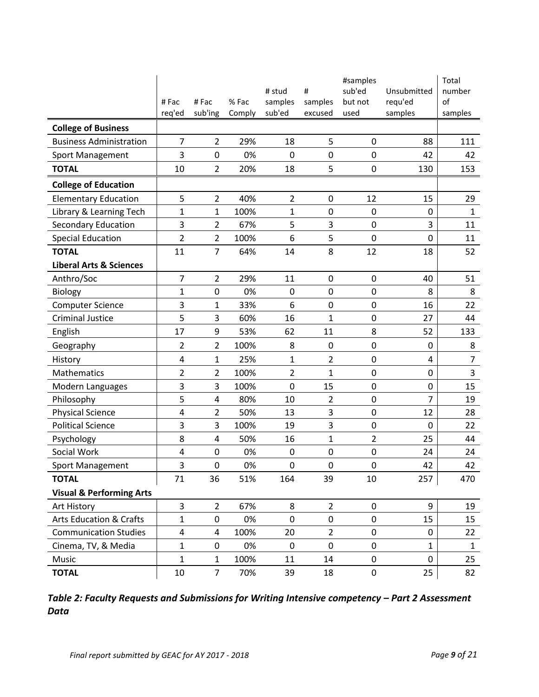|                                     |                |                 |                 |                   |                    | #samples         |                    | Total          |
|-------------------------------------|----------------|-----------------|-----------------|-------------------|--------------------|------------------|--------------------|----------------|
|                                     |                |                 |                 | # stud            | #                  | sub'ed           | Unsubmitted        | number         |
|                                     | #Fac<br>req'ed | #Fac<br>sub'ing | % Fac<br>Comply | samples<br>sub'ed | samples<br>excused | but not<br>used  | requ'ed<br>samples | of<br>samples  |
|                                     |                |                 |                 |                   |                    |                  |                    |                |
| <b>College of Business</b>          |                |                 |                 |                   |                    |                  |                    |                |
| <b>Business Administration</b>      | $\overline{7}$ | 2               | 29%             | 18                | 5                  | $\mathbf 0$      | 88                 | 111            |
| <b>Sport Management</b>             | 3              | $\mathbf 0$     | 0%              | 0                 | 0                  | $\mathbf 0$      | 42                 | 42             |
| <b>TOTAL</b>                        | 10             | $\overline{2}$  | 20%             | 18                | 5                  | $\pmb{0}$        | 130                | 153            |
| <b>College of Education</b>         |                |                 |                 |                   |                    |                  |                    |                |
| <b>Elementary Education</b>         | 5              | 2               | 40%             | $\overline{2}$    | 0                  | 12               | 15                 | 29             |
| Library & Learning Tech             | $\mathbf{1}$   | $\mathbf{1}$    | 100%            | $\mathbf{1}$      | 0                  | $\mathbf 0$      | 0                  | $\mathbf{1}$   |
| <b>Secondary Education</b>          | 3              | 2               | 67%             | 5                 | 3                  | $\pmb{0}$        | 3                  | 11             |
| <b>Special Education</b>            | $\overline{2}$ | 2               | 100%            | 6                 | 5                  | 0                | 0                  | 11             |
| <b>TOTAL</b>                        | 11             | $\overline{7}$  | 64%             | 14                | 8                  | 12               | 18                 | 52             |
| <b>Liberal Arts &amp; Sciences</b>  |                |                 |                 |                   |                    |                  |                    |                |
| Anthro/Soc                          | $\overline{7}$ | 2               | 29%             | 11                | $\pmb{0}$          | $\mathbf 0$      | 40                 | 51             |
| <b>Biology</b>                      | $\mathbf{1}$   | $\mathbf 0$     | 0%              | 0                 | 0                  | $\mathbf 0$      | 8                  | 8              |
| <b>Computer Science</b>             | 3              | 1               | 33%             | 6                 | 0                  | $\mathbf 0$      | 16                 | 22             |
| <b>Criminal Justice</b>             | 5              | 3               | 60%             | 16                | 1                  | $\pmb{0}$        | 27                 | 44             |
| English                             | 17             | 9               | 53%             | 62                | 11                 | 8                | 52                 | 133            |
| Geography                           | $\overline{2}$ | 2               | 100%            | 8                 | 0                  | $\mathbf 0$      | 0                  | 8              |
| History                             | 4              | 1               | 25%             | 1                 | $\overline{2}$     | $\pmb{0}$        | 4                  | $\overline{7}$ |
| Mathematics                         | $\overline{2}$ | 2               | 100%            | $\overline{2}$    | $\mathbf{1}$       | $\pmb{0}$        | 0                  | $\mathsf 3$    |
| Modern Languages                    | $\mathsf 3$    | 3               | 100%            | 0                 | 15                 | $\pmb{0}$        | 0                  | 15             |
| Philosophy                          | 5              | 4               | 80%             | 10                | $\overline{2}$     | $\pmb{0}$        | 7                  | 19             |
| <b>Physical Science</b>             | 4              | $\overline{2}$  | 50%             | 13                | 3                  | $\pmb{0}$        | 12                 | 28             |
| <b>Political Science</b>            | 3              | 3               | 100%            | 19                | 3                  | $\pmb{0}$        | 0                  | 22             |
| Psychology                          | 8              | $\overline{4}$  | 50%             | 16                | $\mathbf{1}$       | $\overline{c}$   | 25                 | 44             |
| Social Work                         | 4              | $\mathbf 0$     | 0%              | 0                 | 0                  | 0                | 24                 | 24             |
| <b>Sport Management</b>             | 3              | $\mathbf 0$     | 0%              | $\mathbf 0$       | 0                  | $\boldsymbol{0}$ | 42                 | 42             |
| <b>TOTAL</b>                        | 71             | 36              | 51%             | 164               | 39                 | 10               | 257                | 470            |
| <b>Visual &amp; Performing Arts</b> |                |                 |                 |                   |                    |                  |                    |                |
| Art History                         | 3              | $\overline{2}$  | 67%             | 8                 | $\overline{2}$     | $\mathbf 0$      | 9                  | 19             |
| <b>Arts Education &amp; Crafts</b>  | 1              | 0               | 0%              | 0                 | 0                  | $\pmb{0}$        | 15                 | 15             |
| <b>Communication Studies</b>        | 4              | 4               | 100%            | 20                | $\overline{2}$     | 0                | 0                  | 22             |
| Cinema, TV, & Media                 | $\mathbf 1$    | 0               | 0%              | 0                 | 0                  | 0                | 1                  | $\mathbf{1}$   |
| Music                               | 1              | 1               | 100%            | 11                | 14                 | $\pmb{0}$        | 0                  | 25             |
| <b>TOTAL</b>                        | 10             | 7               | 70%             | 39                | 18                 | 0                | 25                 | 82             |

*Table 2: Faculty Requests and Submissions for Writing Intensive competency – Part 2 Assessment Data*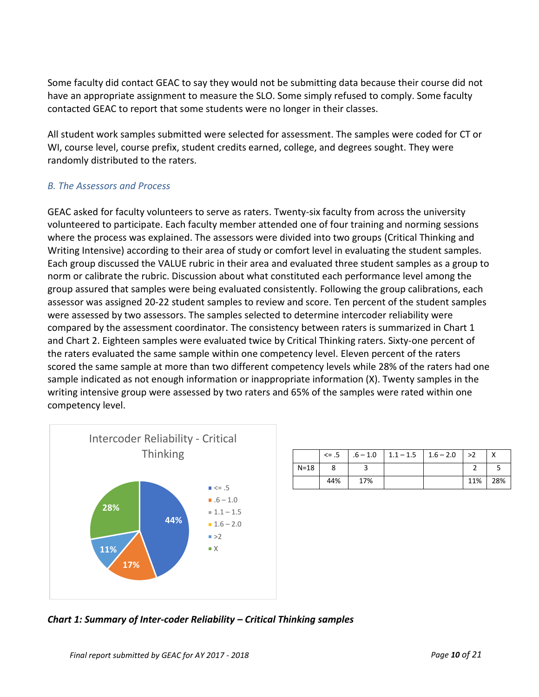Some faculty did contact GEAC to say they would not be submitting data because their course did not have an appropriate assignment to measure the SLO. Some simply refused to comply. Some faculty contacted GEAC to report that some students were no longer in their classes.

All student work samples submitted were selected for assessment. The samples were coded for CT or WI, course level, course prefix, student credits earned, college, and degrees sought. They were randomly distributed to the raters.

## *B. The Assessors and Process*

GEAC asked for faculty volunteers to serve as raters. Twenty-six faculty from across the university volunteered to participate. Each faculty member attended one of four training and norming sessions where the process was explained. The assessors were divided into two groups (Critical Thinking and Writing Intensive) according to their area of study or comfort level in evaluating the student samples. Each group discussed the VALUE rubric in their area and evaluated three student samples as a group to norm or calibrate the rubric. Discussion about what constituted each performance level among the group assured that samples were being evaluated consistently. Following the group calibrations, each assessor was assigned 20-22 student samples to review and score. Ten percent of the student samples were assessed by two assessors. The samples selected to determine intercoder reliability were compared by the assessment coordinator. The consistency between raters is summarized in Chart 1 and Chart 2. Eighteen samples were evaluated twice by Critical Thinking raters. Sixty-one percent of the raters evaluated the same sample within one competency level. Eleven percent of the raters scored the same sample at more than two different competency levels while 28% of the raters had one sample indicated as not enough information or inappropriate information (X). Twenty samples in the writing intensive group were assessed by two raters and 65% of the samples were rated within one competency level.



|        |     |     | $\leq$ 5 $\big $ .6 - 1.0 $\big $ 1.1 - 1.5 $\big $ 1.6 - 2.0 | >2  |     |
|--------|-----|-----|---------------------------------------------------------------|-----|-----|
| $N=18$ |     |     |                                                               |     |     |
|        | 44% | 17% |                                                               | 11% | 28% |

*Chart 1: Summary of Inter-coder Reliability – Critical Thinking samples*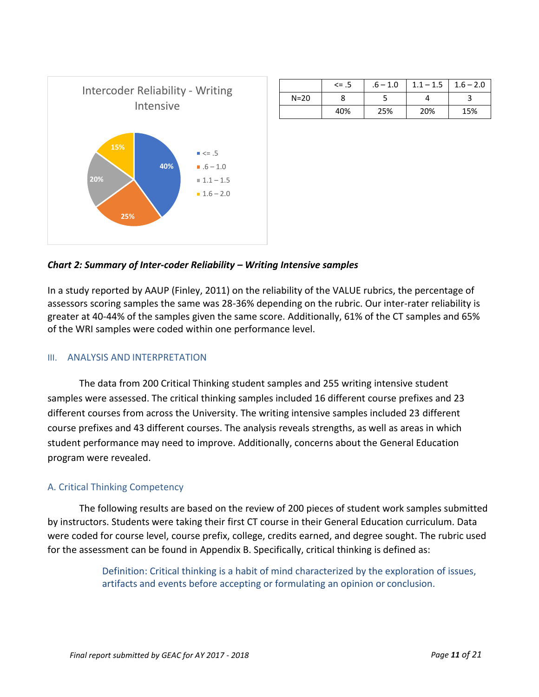

|          | $\leq$ .5 | $.6 - 1.0$ | $1.1 - 1.5$ | $1.6 - 2.0$ |
|----------|-----------|------------|-------------|-------------|
| $N = 20$ |           |            |             |             |
|          | 40%       | 25%        | 20%         | 15%         |

### *Chart 2: Summary of Inter-coder Reliability – Writing Intensive samples*

In a study reported by AAUP (Finley, 2011) on the reliability of the VALUE rubrics, the percentage of assessors scoring samples the same was 28-36% depending on the rubric. Our inter-rater reliability is greater at 40-44% of the samples given the same score. Additionally, 61% of the CT samples and 65% of the WRI samples were coded within one performance level.

#### III. ANALYSIS AND INTERPRETATION

The data from 200 Critical Thinking student samples and 255 writing intensive student samples were assessed. The critical thinking samples included 16 different course prefixes and 23 different courses from across the University. The writing intensive samples included 23 different course prefixes and 43 different courses. The analysis reveals strengths, as well as areas in which student performance may need to improve. Additionally, concerns about the General Education program were revealed.

#### A. Critical Thinking Competency

The following results are based on the review of 200 pieces of student work samples submitted by instructors. Students were taking their first CT course in their General Education curriculum. Data were coded for course level, course prefix, college, credits earned, and degree sought. The rubric used for the assessment can be found in Appendix B. Specifically, critical thinking is defined as:

> Definition: Critical thinking is a habit of mind characterized by the exploration of issues, artifacts and events before accepting or formulating an opinion or conclusion.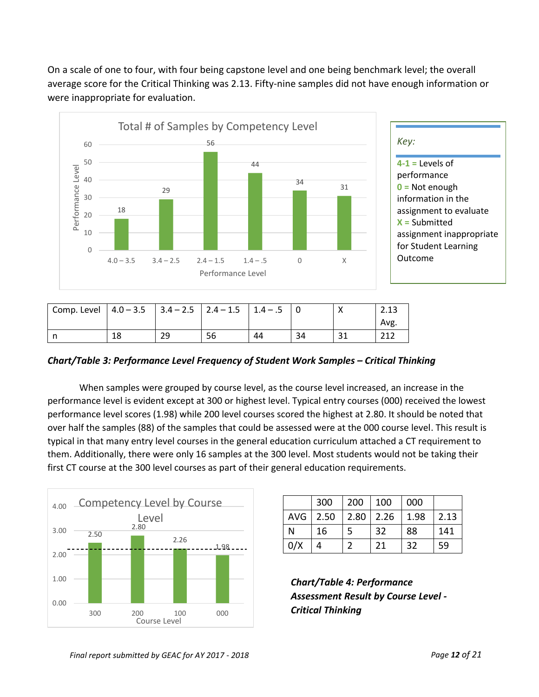On a scale of one to four, with four being capstone level and one being benchmark level; the overall average score for the Critical Thinking was 2.13. Fifty-nine samples did not have enough information or were inappropriate for evaluation.



| $4-1$ = Levels of        |
|--------------------------|
| performance              |
| $0 = Not enough$         |
| information in the       |
| assignment to evaluate   |
| $X =$ Submitted          |
| assignment inappropriate |
| for Student Learning     |
| Outcome                  |
|                          |

| Comp. Level $ 4.0 - 3.5 $ $ 3.4 - 2.5 $ $ 2.4 - 1.5 $ $ 1.4 - .5 $ |    |    |    |    |    | 2.13 |
|--------------------------------------------------------------------|----|----|----|----|----|------|
|                                                                    |    |    |    |    |    | Avg. |
|                                                                    | 18 | 29 | 56 | 44 | 34 | 212  |

*Chart/Table 3: Performance Level Frequency of Student Work Samples – Critical Thinking* 

When samples were grouped by course level, as the course level increased, an increase in the performance level is evident except at 300 or highest level. Typical entry courses (000) received the lowest performance level scores (1.98) while 200 level courses scored the highest at 2.80. It should be noted that over half the samples (88) of the samples that could be assessed were at the 000 course level. This result is typical in that many entry level courses in the general education curriculum attached a CT requirement to them. Additionally, there were only 16 samples at the 300 level. Most students would not be taking their first CT course at the 300 level courses as part of their general education requirements.



|          | 300 | 200 | 100         | 000  |      |
|----------|-----|-----|-------------|------|------|
| AVG 2.50 |     |     | $2.80$ 2.26 | 1.98 | 2.13 |
| N        | 16  |     | 32          | 88   | 141  |
| 0/X      |     |     | 21          | 32   | 59   |

*Chart/Table 4: Performance Assessment Result by Course Level - Critical Thinking*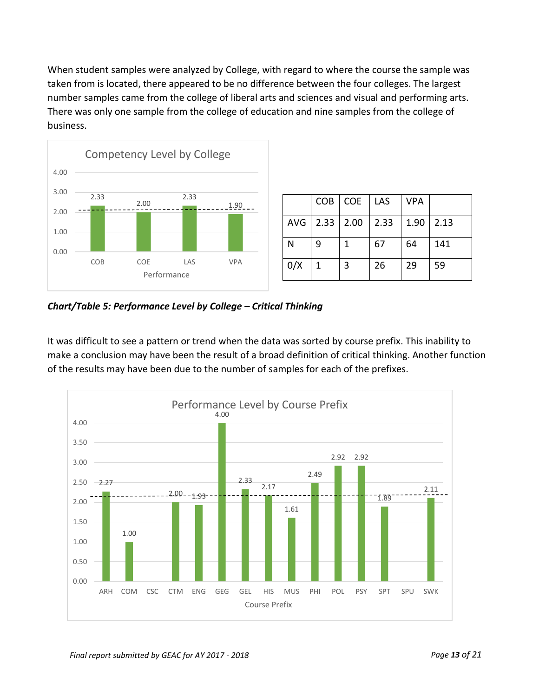When student samples were analyzed by College, with regard to where the course the sample was taken from is located, there appeared to be no difference between the four colleges. The largest number samples came from the college of liberal arts and sciences and visual and performing arts. There was only one sample from the college of education and nine samples from the college of business.



|     |                     | COB   COE   LAS |      | <b>VPA</b> |      |
|-----|---------------------|-----------------|------|------------|------|
|     | $AVG$   2.33   2.00 |                 | 2.33 | 1.90       | 2.13 |
| N   | q                   | 1               | 67   | 64         | 141  |
| 0/X | $\mathbf 1$         | 3               | 26   | 29         | 59   |

*Chart/Table 5: Performance Level by College – Critical Thinking*

It was difficult to see a pattern or trend when the data was sorted by course prefix. This inability to make a conclusion may have been the result of a broad definition of critical thinking. Another function of the results may have been due to the number of samples for each of the prefixes.

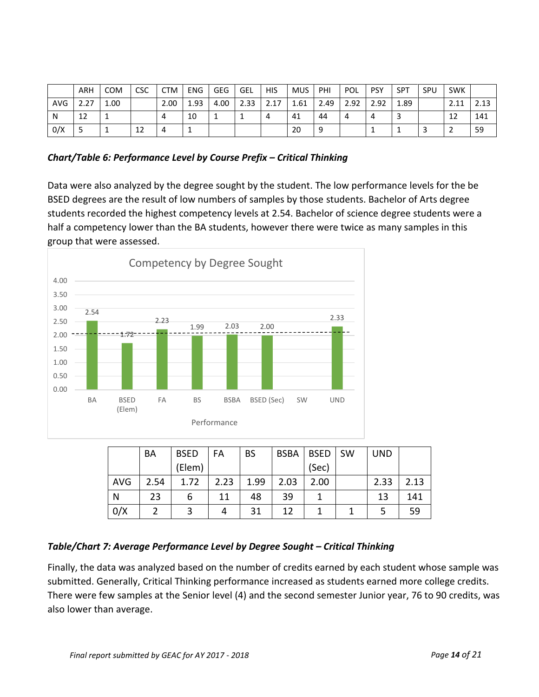|            | <b>ARH</b> | <b>COM</b> | CSC | <b>CTM</b> | <b>ENG</b> | <b>GEG</b> | GEL  | <b>HIS</b>           | <b>MUS</b> | PHI  | POL  | <b>PSY</b>  | <b>SPT</b> | SPU | <b>SWK</b>   |      |
|------------|------------|------------|-----|------------|------------|------------|------|----------------------|------------|------|------|-------------|------------|-----|--------------|------|
| <b>AVG</b> | 2.27       | 1.00       |     | 2.00       | 1.93       | 4.00       | 2.33 | 17<br>ົ<br><u> /</u> | 1.61       | 2.49 | 2.92 | 2 Q2<br>ے ت | 1.89       |     | 2.11<br>2.11 | 2.13 |
| N          | 12         |            |     |            | 10         |            |      | 4                    | 41         | 44   | 4    | 4           |            |     | 12           | 141  |
| 0/X        |            |            | 12  |            |            |            |      |                      | 20         |      |      |             | <b>.</b>   |     |              | 59   |

*Chart/Table 6: Performance Level by Course Prefix – Critical Thinking*

Data were also analyzed by the degree sought by the student. The low performance levels for the be BSED degrees are the result of low numbers of samples by those students. Bachelor of Arts degree students recorded the highest competency levels at 2.54. Bachelor of science degree students were a half a competency lower than the BA students, however there were twice as many samples in this group that were assessed.



|            | BA   | <b>BSED</b> | FA   | <b>BS</b> | <b>BSBA</b> | <b>BSED</b> | <b>SW</b> | <b>UND</b> |      |
|------------|------|-------------|------|-----------|-------------|-------------|-----------|------------|------|
|            |      | (Elem)      |      |           |             | (Sec)       |           |            |      |
| <b>AVG</b> | 2.54 | 1.72        | 2.23 | 1.99      | 2.03        | 2.00        |           | 2.33       | 2.13 |
| N          | 23   | 6           | 11   | 48        | 39          |             |           | 13         | 141  |
| 0/X        |      |             |      | 31        | 12          |             |           | 5          | 59   |

## *Table/Chart 7: Average Performance Level by Degree Sought – Critical Thinking*

Finally, the data was analyzed based on the number of credits earned by each student whose sample was submitted. Generally, Critical Thinking performance increased as students earned more college credits. There were few samples at the Senior level (4) and the second semester Junior year, 76 to 90 credits, was also lower than average.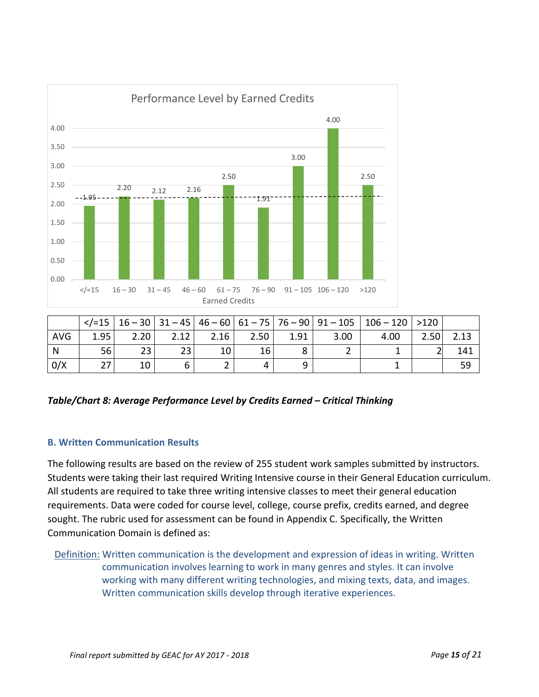

|            |      |      |      |      |      |      | $\langle$ = 15   16 - 30   31 - 45   46 - 60   61 - 75   76 - 90   91 - 105 | $ 106 - 120  > 120$ |      |      |
|------------|------|------|------|------|------|------|-----------------------------------------------------------------------------|---------------------|------|------|
| <b>AVG</b> | 1.95 | 2.20 | 2.12 | 2.16 | 2.50 | 1.91 | 3.00                                                                        | 4.00                | 2.50 | 2.13 |
| N          | 56   | 23   | 23   | 10   | 16   | Ο    |                                                                             |                     |      | 141  |
| 0/X        | 27   | 10   |      |      |      |      |                                                                             |                     |      | 59   |

*Table/Chart 8: Average Performance Level by Credits Earned – Critical Thinking* 

## **B. Written Communication Results**

The following results are based on the review of 255 student work samples submitted by instructors. Students were taking their last required Writing Intensive course in their General Education curriculum. All students are required to take three writing intensive classes to meet their general education requirements. Data were coded for course level, college, course prefix, credits earned, and degree sought. The rubric used for assessment can be found in Appendix C. Specifically, the Written Communication Domain is defined as:

Definition: Written communication is the development and expression of ideas in writing. Written communication involves learning to work in many genres and styles. It can involve working with many different writing technologies, and mixing texts, data, and images. Written communication skills develop through iterative experiences.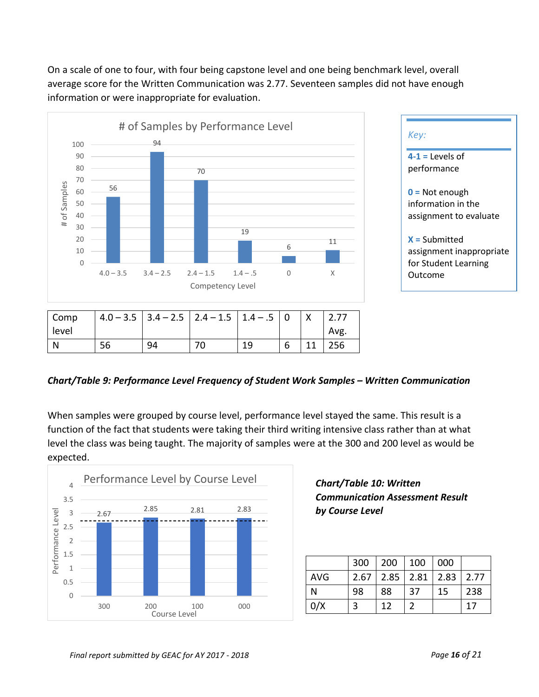On a scale of one to four, with four being capstone level and one being benchmark level, overall average score for the Written Communication was 2.77. Seventeen samples did not have enough information or were inappropriate for evaluation.





| Comp  |    |    | $4.0 - 3.5$   3.4 - 2.5   2.4 - 1.5   1.4 - .5   0 |    |   |      |
|-------|----|----|----------------------------------------------------|----|---|------|
| level |    |    |                                                    |    |   | Avg. |
|       | 56 | 94 |                                                    | 19 | 6 | 256  |

### *Chart/Table 9: Performance Level Frequency of Student Work Samples – Written Communication*

When samples were grouped by course level, performance level stayed the same. This result is a function of the fact that students were taking their third writing intensive class rather than at what level the class was being taught. The majority of samples were at the 300 and 200 level as would be expected.



# *Chart/Table 10: Written Communication Assessment Result by Course Level*

|     | 300 | 200 100                            |     | 000 |     |
|-----|-----|------------------------------------|-----|-----|-----|
| AVG |     | $2.67$   2.85   2.81   2.83   2.77 |     |     |     |
| N   | 98  | 88                                 | -37 | 15  | 238 |
| 0/X |     | 12                                 |     |     | 17  |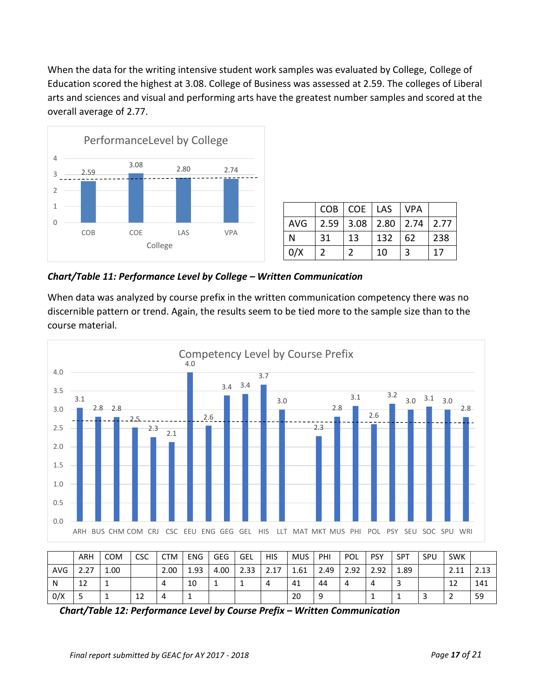When the data for the writing intensive student work samples was evaluated by College, College of Education scored the highest at 3.08. College of Business was assessed at 2.59. The colleges of Liberal arts and sciences and visual and performing arts have the greatest number samples and scored at the overall average of 2.77.



|                                        |     | COB   COE   LAS   VPA |     |                 |     |
|----------------------------------------|-----|-----------------------|-----|-----------------|-----|
| AVG   2.59   3.08   2.80   2.74   2.77 |     |                       |     |                 |     |
| N                                      | -31 | 13                    | 132 | $\overline{62}$ | 238 |
| 0/X                                    |     |                       | 10  |                 | 17  |

*Chart/Table 11: Performance Level by College – Written Communication*

When data was analyzed by course prefix in the written communication competency there was no discernible pattern or trend. Again, the results seem to be tied more to the sample size than to the course material.



|            | <b>ARH</b> | COM  | <b>CSC</b> | <b>CTM</b> | <b>ENG</b> | <b>GEG</b> | GEL  | <b>HIS</b>              | <b>MUS</b> | PHI  | POL  | <b>PSY</b> | <b>SPT</b> | SPU | <b>SWK</b> |      |
|------------|------------|------|------------|------------|------------|------------|------|-------------------------|------------|------|------|------------|------------|-----|------------|------|
| <b>AVG</b> | 2.27       | 1.00 |            | 2.00       | 1.93       | 4.00       | 2.33 | $-17$<br>¬<br><u> /</u> | 1.61       | 2.49 | 2.92 | 2.92       | 1.89       |     | 2.11       | 2.13 |
| N          | 12         |      |            |            | 10         |            | ÷    | 4                       | 41         | 44   | 4    | 4          | Э          |     | 12         | 141  |
| 0/X        |            |      | ᅩ          |            |            |            |      |                         | 20         |      |      |            | <b>+</b>   |     |            | 59   |

*Chart/Table 12: Performance Level by Course Prefix – Written Communication*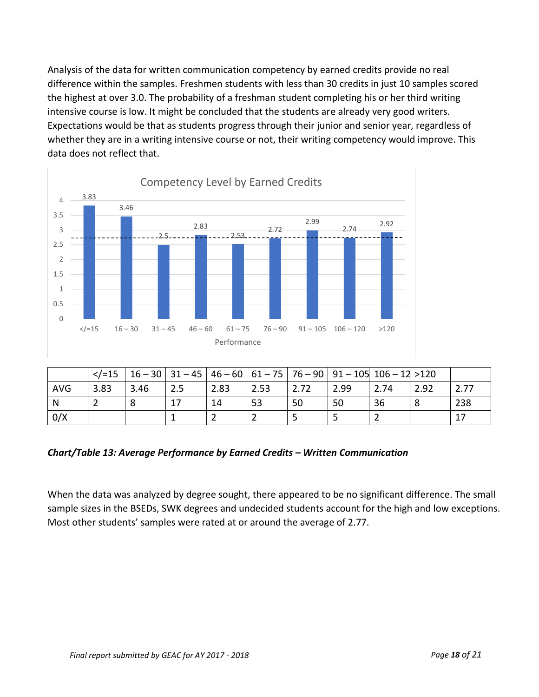Analysis of the data for written communication competency by earned credits provide no real difference within the samples. Freshmen students with less than 30 credits in just 10 samples scored the highest at over 3.0. The probability of a freshman student completing his or her third writing intensive course is low. It might be concluded that the students are already very good writers. Expectations would be that as students progress through their junior and senior year, regardless of whether they are in a writing intensive course or not, their writing competency would improve. This data does not reflect that.



|            | $\frac{2}{5}$ |      |     |      |      |      | 16 – 30   31 – 45   46 – 60   61 – 75   76 – 90   91 – 105   106 – 12 >120 |      |      |      |
|------------|---------------|------|-----|------|------|------|----------------------------------------------------------------------------|------|------|------|
| <b>AVG</b> | 3.83          | 3.46 | 2.5 | 2.83 | 2.53 | 2.72 | 2.99                                                                       | 2.74 | 2.92 | 2.77 |
| N          |               |      |     | 14   | 53   | 50   | 50                                                                         | 36   | 8    | 238  |
| 0/X        |               |      |     |      |      |      |                                                                            |      |      |      |

## *Chart/Table 13: Average Performance by Earned Credits – Written Communication*

When the data was analyzed by degree sought, there appeared to be no significant difference. The small sample sizes in the BSEDs, SWK degrees and undecided students account for the high and low exceptions. Most other students' samples were rated at or around the average of 2.77.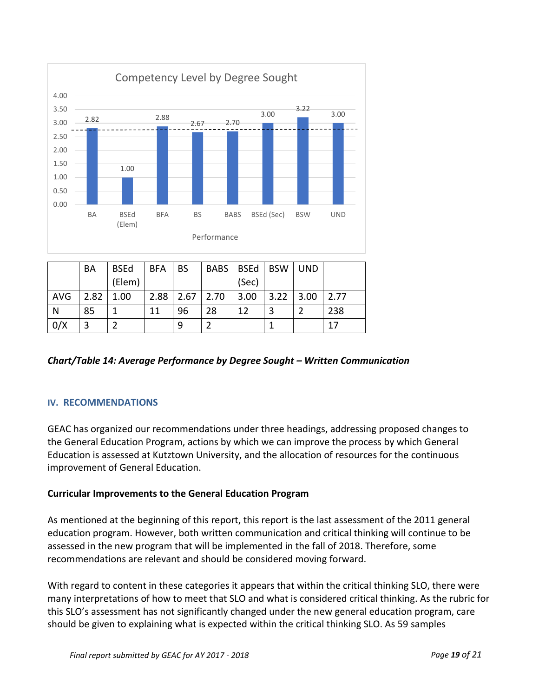

|            | BA   | <b>BSEd</b> | <b>BFA</b> | <b>BS</b>     | BABS | BSEd   BSW |      | <b>UND</b> |      |
|------------|------|-------------|------------|---------------|------|------------|------|------------|------|
|            |      | (Elem)      |            |               |      | (Sec)      |      |            |      |
| <b>AVG</b> | 2.82 | 1.00        | 2.88       | $2.67$   2.70 |      | 3.00       | 3.22 | 3.00       | 2.77 |
| N          | 85   |             | 11         | 96            | 28   | 12         |      |            | 238  |
| 0/X        | 3    |             |            | 9             |      |            |      |            | 17   |

# *Chart/Table 14: Average Performance by Degree Sought – Written Communication*

### **IV. RECOMMENDATIONS**

GEAC has organized our recommendations under three headings, addressing proposed changes to the General Education Program, actions by which we can improve the process by which General Education is assessed at Kutztown University, and the allocation of resources for the continuous improvement of General Education.

### **Curricular Improvements to the General Education Program**

As mentioned at the beginning of this report, this report is the last assessment of the 2011 general education program. However, both written communication and critical thinking will continue to be assessed in the new program that will be implemented in the fall of 2018. Therefore, some recommendations are relevant and should be considered moving forward.

With regard to content in these categories it appears that within the critical thinking SLO, there were many interpretations of how to meet that SLO and what is considered critical thinking. As the rubric for this SLO's assessment has not significantly changed under the new general education program, care should be given to explaining what is expected within the critical thinking SLO. As 59 samples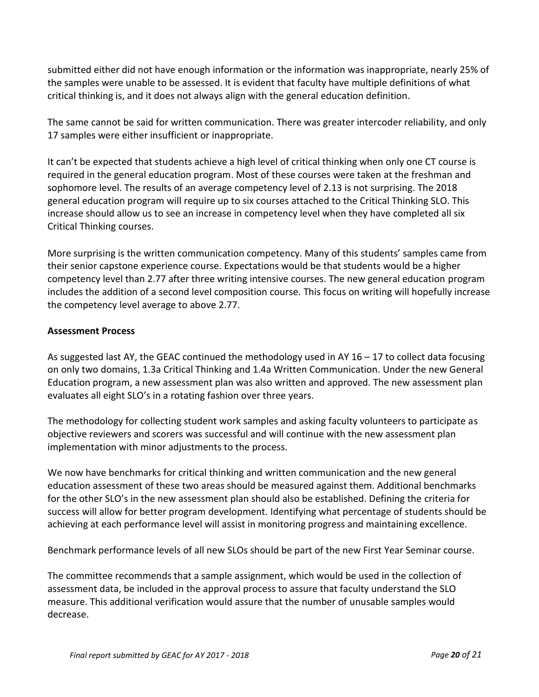submitted either did not have enough information or the information was inappropriate, nearly 25% of the samples were unable to be assessed. It is evident that faculty have multiple definitions of what critical thinking is, and it does not always align with the general education definition.

The same cannot be said for written communication. There was greater intercoder reliability, and only 17 samples were either insufficient or inappropriate.

It can't be expected that students achieve a high level of critical thinking when only one CT course is required in the general education program. Most of these courses were taken at the freshman and sophomore level. The results of an average competency level of 2.13 is not surprising. The 2018 general education program will require up to six courses attached to the Critical Thinking SLO. This increase should allow us to see an increase in competency level when they have completed all six Critical Thinking courses.

More surprising is the written communication competency. Many of this students' samples came from their senior capstone experience course. Expectations would be that students would be a higher competency level than 2.77 after three writing intensive courses. The new general education program includes the addition of a second level composition course. This focus on writing will hopefully increase the competency level average to above 2.77.

### **Assessment Process**

As suggested last AY, the GEAC continued the methodology used in AY 16 – 17 to collect data focusing on only two domains, 1.3a Critical Thinking and 1.4a Written Communication. Under the new General Education program, a new assessment plan was also written and approved. The new assessment plan evaluates all eight SLO's in a rotating fashion over three years.

The methodology for collecting student work samples and asking faculty volunteers to participate as objective reviewers and scorers was successful and will continue with the new assessment plan implementation with minor adjustments to the process.

We now have benchmarks for critical thinking and written communication and the new general education assessment of these two areas should be measured against them. Additional benchmarks for the other SLO's in the new assessment plan should also be established. Defining the criteria for success will allow for better program development. Identifying what percentage of students should be achieving at each performance level will assist in monitoring progress and maintaining excellence.

Benchmark performance levels of all new SLOs should be part of the new First Year Seminar course.

The committee recommends that a sample assignment, which would be used in the collection of assessment data, be included in the approval process to assure that faculty understand the SLO measure. This additional verification would assure that the number of unusable samples would decrease.